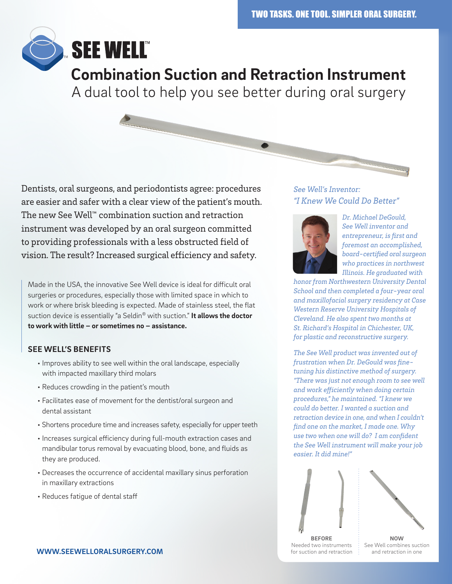

Dentists, oral surgeons, and periodontists agree: procedures are easier and safer with a clear view of the patient's mouth. The new See Well™ combination suction and retraction instrument was developed by an oral surgeon committed to providing professionals with a less obstructed field of vision. The result? Increased surgical efficiency and safety.

Made in the USA, the innovative See Well device is ideal for difficult oral surgeries or procedures, especially those with limited space in which to work or where brisk bleeding is expected. Made of stainless steel, the flat suction device is essentially "a Seldin® with suction." **It allows the doctor to work with little – or sometimes no – assistance.**

## **SEE WELL'S BENEFITS**

- Improves ability to see well within the oral landscape, especially with impacted maxillary third molars
- Reduces crowding in the patient's mouth
- Facilitates ease of movement for the dentist/oral surgeon and dental assistant
- Shortens procedure time and increases safety, especially for upper teeth
- Increases surgical efficiency during full-mouth extraction cases and mandibular torus removal by evacuating blood, bone, and fluids as they are produced.
- Decreases the occurrence of accidental maxillary sinus perforation in maxillary extractions
- Reduces fatigue of dental staff

## *See Well's Inventor: "I Knew We Could Do Better"*



*Dr. Michael DeGould, See Well inventor and entrepreneur, is first and foremost an accomplished, board-certified oral surgeon who practices in northwest Illinois. He graduated with* 

*honor from Northwestern University Dental School and then completed a four-year oral and maxillofacial surgery residency at Case Western Reserve University Hospitals of Cleveland. He also spent two months at St. Richard's Hospital in Chichester, UK, for plastic and reconstructive surgery.*

*The See Well product was invented out of frustration when Dr. DeGould was finetuning his distinctive method of surgery. "There was just not enough room to see well and work efficiently when doing certain procedures," he maintained. "I knew we could do better. I wanted a suction and retraction device in one, and when I couldn't find one on the market, I made one. Why use two when one will do? I am confident the See Well instrument will make your job easier. It did mine!"*





**BEFORE** Needed two instruments for suction and retraction

**NOW** See Well combines suction and retraction in one